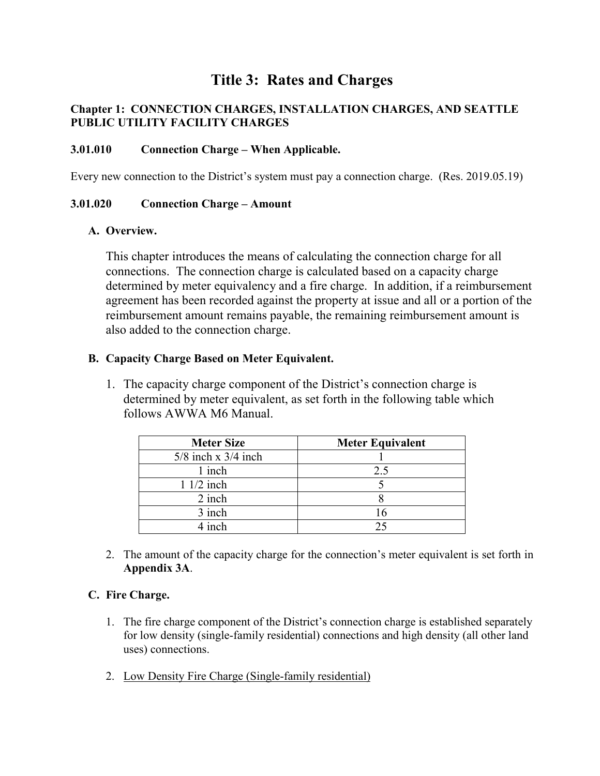# **Title 3: Rates and Charges**

## **Chapter 1: CONNECTION CHARGES, INSTALLATION CHARGES, AND SEATTLE PUBLIC UTILITY FACILITY CHARGES**

### **3.01.010 Connection Charge – When Applicable.**

Every new connection to the District's system must pay a connection charge. (Res. 2019.05.19)

#### **3.01.020 Connection Charge – Amount**

#### **A. Overview.**

This chapter introduces the means of calculating the connection charge for all connections. The connection charge is calculated based on a capacity charge determined by meter equivalency and a fire charge. In addition, if a reimbursement agreement has been recorded against the property at issue and all or a portion of the reimbursement amount remains payable, the remaining reimbursement amount is also added to the connection charge.

#### **B. Capacity Charge Based on Meter Equivalent.**

1. The capacity charge component of the District's connection charge is determined by meter equivalent, as set forth in the following table which follows AWWA M6 Manual.

| <b>Meter Size</b>       | <b>Meter Equivalent</b> |
|-------------------------|-------------------------|
| $5/8$ inch x $3/4$ inch |                         |
| 1 inch                  | 2.5                     |
| $11/2$ inch             |                         |
| 2 inch                  |                         |
| 3 inch                  | 16                      |
| $4$ inch                | つく                      |

2. The amount of the capacity charge for the connection's meter equivalent is set forth in **Appendix 3A**.

## **C. Fire Charge.**

- 1. The fire charge component of the District's connection charge is established separately for low density (single-family residential) connections and high density (all other land uses) connections.
- 2. Low Density Fire Charge (Single-family residential)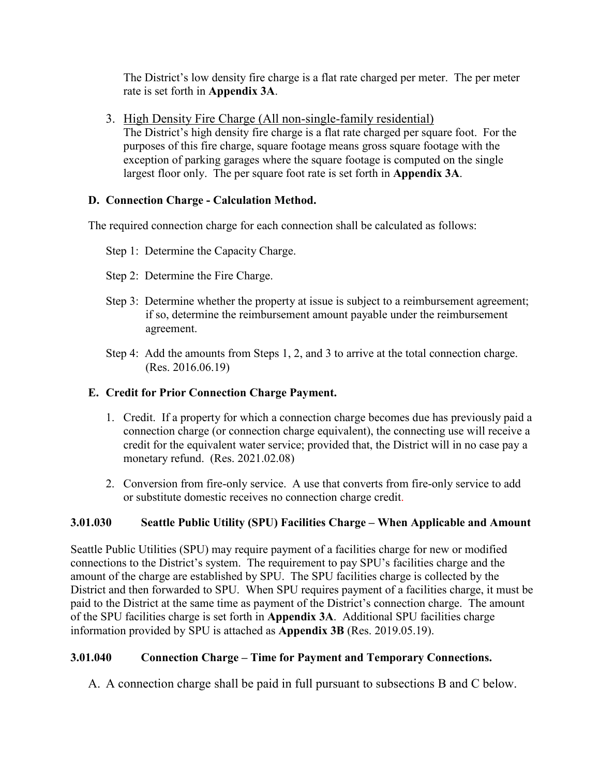The District's low density fire charge is a flat rate charged per meter. The per meter rate is set forth in **Appendix 3A**.

3. High Density Fire Charge (All non-single-family residential)

The District's high density fire charge is a flat rate charged per square foot. For the purposes of this fire charge, square footage means gross square footage with the exception of parking garages where the square footage is computed on the single largest floor only. The per square foot rate is set forth in **Appendix 3A**.

## **D. Connection Charge - Calculation Method.**

The required connection charge for each connection shall be calculated as follows:

- Step 1: Determine the Capacity Charge.
- Step 2: Determine the Fire Charge.
- Step 3: Determine whether the property at issue is subject to a reimbursement agreement; if so, determine the reimbursement amount payable under the reimbursement agreement.
- Step 4: Add the amounts from Steps 1, 2, and 3 to arrive at the total connection charge. (Res. 2016.06.19)

# **E. Credit for Prior Connection Charge Payment.**

- 1. Credit. If a property for which a connection charge becomes due has previously paid a connection charge (or connection charge equivalent), the connecting use will receive a credit for the equivalent water service; provided that, the District will in no case pay a monetary refund. (Res. 2021.02.08)
- 2. Conversion from fire-only service. A use that converts from fire-only service to add or substitute domestic receives no connection charge credit.

# **3.01.030 Seattle Public Utility (SPU) Facilities Charge – When Applicable and Amount**

Seattle Public Utilities (SPU) may require payment of a facilities charge for new or modified connections to the District's system. The requirement to pay SPU's facilities charge and the amount of the charge are established by SPU. The SPU facilities charge is collected by the District and then forwarded to SPU. When SPU requires payment of a facilities charge, it must be paid to the District at the same time as payment of the District's connection charge. The amount of the SPU facilities charge is set forth in **Appendix 3A**. Additional SPU facilities charge information provided by SPU is attached as **Appendix 3B** (Res. 2019.05.19).

# **3.01.040 Connection Charge – Time for Payment and Temporary Connections.**

A. A connection charge shall be paid in full pursuant to subsections B and C below.